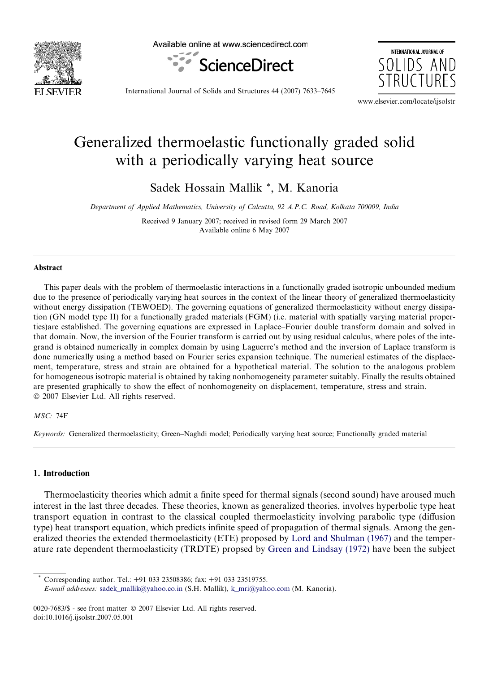

Available online at www.sciencedirect.com



INTERNATIONAL JOURNAL OF SOLIDS AND

International Journal of Solids and Structures 44 (2007) 7633–7645

www.elsevier.com/locate/ijsolstr

# Generalized thermoelastic functionally graded solid with a periodically varying heat source

Sadek Hossain Mallik \*, M. Kanoria

*Department of Applied Mathematics, University of Calcutta, 92 A.P.C. Road, Kolkata 700009, India*

Received 9 January 2007; received in revised form 29 March 2007 Available online 6 May 2007

# Abstract

This paper deals with the problem of thermoelastic interactions in a functionally graded isotropic unbounded medium due to the presence of periodically varying heat sources in the context of the linear theory of generalized thermoelasticity without energy dissipation (TEWOED). The governing equations of generalized thermoelasticity without energy dissipation (GN model type II) for a functionally graded materials (FGM) (i.e. material with spatially varying material properties)are established. The governing equations are expressed in Laplace–Fourier double transform domain and solved in that domain. Now, the inversion of the Fourier transform is carried out by using residual calculus, where poles of the integrand is obtained numerically in complex domain by using Laguerre's method and the inversion of Laplace transform is done numerically using a method based on Fourier series expansion technique. The numerical estimates of the displacement, temperature, stress and strain are obtained for a hypothetical material. The solution to the analogous problem for homogeneous isotropic material is obtained by taking nonhomogeneity parameter suitably. Finally the results obtained are presented graphically to show the effect of nonhomogeneity on displacement, temperature, stress and strain.  $© 2007 Elsevier Ltd. All rights reserved.$ 

# *MSC:* 74F

*Keywords:* Generalized thermoelasticity; Green–Naghdi model; Periodically varying heat source; Functionally graded material

#### 1. Introduction

Thermoelasticity theories which admit a finite speed for thermal signals (second sound) have aroused much interest in the last three decades. These theories, known as generalized theories, involves hyperbolic type heat transport equation in contrast to the classical coupled thermoelasticity involving parabolic type (diffusion type) heat transport equation, which predicts infinite speed of propagation of thermal signals. Among the generalized theories the extended thermoelasticity (ETE) proposed by Lord and Shulman (1967) and the temperature rate dependent thermoelasticity (TRDTE) propsed by Green and Lindsay (1972) have been the subject

Corresponding author. Tel.: +91 033 23508386; fax: +91 033 23519755.

*E-mail addresses:* sadek\_mallik@yahoo.co.in (S.H. Mallik), k\_mri@yahoo.com (M. Kanoria).

<sup>0020-7683/\$ -</sup> see front matter © 2007 Elsevier Ltd. All rights reserved. doi:10.1016/j.ijsolstr.2007.05.001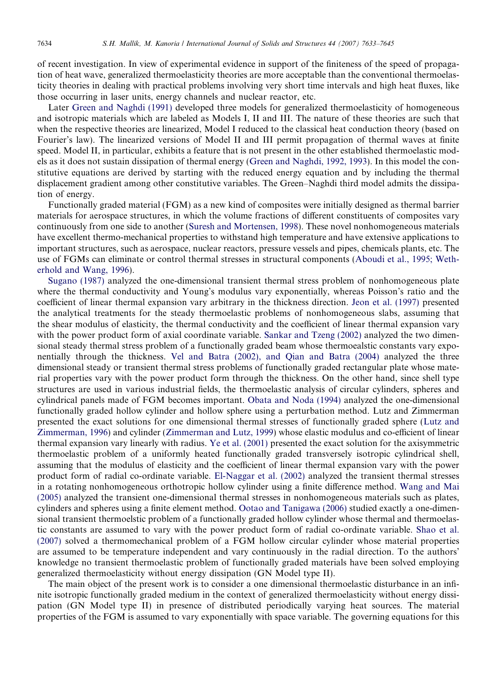of recent investigation. In view of experimental evidence in support of the finiteness of the speed of propagation of heat wave, generalized thermoelasticity theories are more acceptable than the conventional thermoelasticity theories in dealing with practical problems involving very short time intervals and high heat fluxes, like those occurring in laser units, energy channels and nuclear reactor, etc.

Later Green and Naghdi (1991) developed three models for generalized thermoelasticity of homogeneous and isotropic materials which are labeled as Models I, II and III. The nature of these theories are such that when the respective theories are linearized, Model I reduced to the classical heat conduction theory (based on Fourier's law). The linearized versions of Model II and III permit propagation of thermal waves at finite speed. Model II, in particular, exhibits a feature that is not present in the other established thermoelastic models as it does not sustain dissipation of thermal energy (Green and Naghdi, 1992, 1993). In this model the constitutive equations are derived by starting with the reduced energy equation and by including the thermal displacement gradient among other constitutive variables. The Green–Naghdi third model admits the dissipation of energy.

Functionally graded material (FGM) as a new kind of composites were initially designed as thermal barrier materials for aerospace structures, in which the volume fractions of different constituents of composites vary continuously from one side to another (Suresh and Mortensen, 1998). These novel nonhomogeneous materials have excellent thermo-mechanical properties to withstand high temperature and have extensive applications to important structures, such as aerospace, nuclear reactors, pressure vessels and pipes, chemicals plants, etc. The use of FGMs can eliminate or control thermal stresses in structural components (Aboudi et al., 1995; Wetherhold and Wang, 1996).

Sugano (1987) analyzed the one-dimensional transient thermal stress problem of nonhomogeneous plate where the thermal conductivity and Young's modulus vary exponentially, whereas Poisson's ratio and the coefficient of linear thermal expansion vary arbitrary in the thickness direction. Jeon et al. (1997) presented the analytical treatments for the steady thermoelastic problems of nonhomogeneous slabs, assuming that the shear modulus of elasticity, the thermal conductivity and the coefficient of linear thermal expansion vary with the power product form of axial coordinate variable. Sankar and Tzeng (2002) analyzed the two dimensional steady thermal stress problem of a functionally graded beam whose thermoealstic constants vary exponentially through the thickness. Vel and Batra (2002), and Qian and Batra (2004) analyzed the three dimensional steady or transient thermal stress problems of functionally graded rectangular plate whose material properties vary with the power product form through the thickness. On the other hand, since shell type structures are used in various industrial fields, the thermoelastic analysis of circular cylinders, spheres and cylindrical panels made of FGM becomes important. Obata and Noda (1994) analyzed the one-dimensional functionally graded hollow cylinder and hollow sphere using a perturbation method. Lutz and Zimmerman presented the exact solutions for one dimensional thermal stresses of functionally graded sphere (Lutz and Zimmerman, 1996) and cylinder (Zimmerman and Lutz, 1999) whose elastic modulus and co-efficient of linear thermal expansion vary linearly with radius. Ye et al. (2001) presented the exact solution for the axisymmetric thermoelastic problem of a uniformly heated functionally graded transversely isotropic cylindrical shell, assuming that the modulus of elasticity and the coefficient of linear thermal expansion vary with the power product form of radial co-ordinate variable. El-Naggar et al. (2002) analyzed the transient thermal stresses in a rotating nonhomogeneous orthotropic hollow cylinder using a finite difference method. Wang and Mai (2005) analyzed the transient one-dimensional thermal stresses in nonhomogeneous materials such as plates, cylinders and spheres using a finite element method. Ootao and Tanigawa (2006) studied exactly a one-dimensional transient thermoelstic problem of a functionally graded hollow cylinder whose thermal and thermoelastic constants are assumed to vary with the power product form of radial co-ordinate variable. Shao et al. (2007) solved a thermomechanical problem of a FGM hollow circular cylinder whose material properties are assumed to be temperature independent and vary continuously in the radial direction. To the authors' knowledge no transient thermoelastic problem of functionally graded materials have been solved employing generalized thermoelasticity without energy dissipation (GN Model type II).

The main object of the present work is to consider a one dimensional thermoelastic disturbance in an infinite isotropic functionally graded medium in the context of generalized thermoelasticity without energy dissipation (GN Model type II) in presence of distributed periodically varying heat sources. The material properties of the FGM is assumed to vary exponentially with space variable. The governing equations for this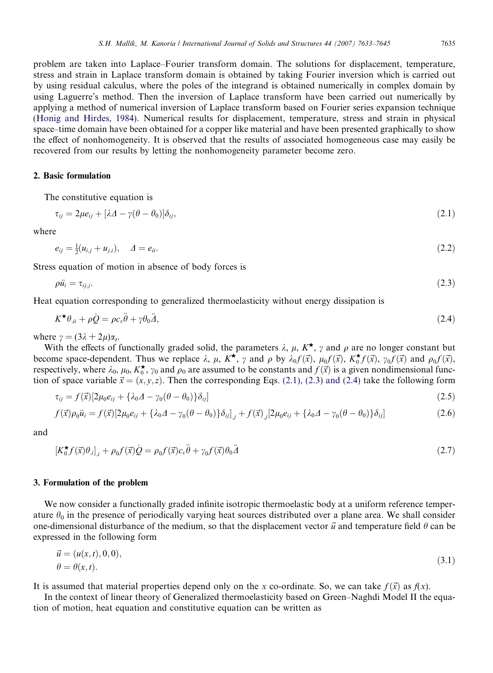problem are taken into Laplace–Fourier transform domain. The solutions for displacement, temperature, stress and strain in Laplace transform domain is obtained by taking Fourier inversion which is carried out by using residual calculus, where the poles of the integrand is obtained numerically in complex domain by using Laguerre's method. Then the inversion of Laplace transform have been carried out numerically by applying a method of numerical inversion of Laplace transform based on Fourier series expansion technique (Honig and Hirdes, 1984). Numerical results for displacement, temperature, stress and strain in physical space–time domain have been obtained for a copper like material and have been presented graphically to show the effect of nonhomogeneity. It is observed that the results of associated homogeneous case may easily be recovered from our results by letting the nonhomogeneity parameter become zero.

# 2. Basic formulation

The constitutive equation is

$$
\tau_{ij} = 2\mu e_{ij} + [\lambda \Delta - \gamma(\theta - \theta_0)] \delta_{ij}, \qquad (2.1)
$$

where

$$
e_{ij} = \frac{1}{2}(u_{i,j} + u_{j,i}), \quad \Delta = e_{ii}.
$$
\n(2.2)

Stress equation of motion in absence of body forces is

$$
\rho \ddot{u}_i = \tau_{ij,j}.\tag{2.3}
$$

Heat equation corresponding to generalized thermoelasticity without energy dissipation is

$$
K^{\star}\theta_{\mu} + \rho \dot{Q} = \rho c_{\nu}\ddot{\theta} + \gamma \theta_0 \ddot{A},\tag{2.4}
$$

where  $\gamma = (3\lambda + 2\mu)\alpha_t$ .

With the effects of functionally graded solid, the parameters  $\lambda$ ,  $\mu$ ,  $K^{\star}$ ,  $\gamma$  and  $\rho$  are no longer constant but become space-dependent. Thus we replace  $\lambda$ ,  $\mu$ ,  $K^{\star}$ ,  $\gamma$  and  $\rho$  by  $\lambda_0 f(\vec{x})$ ,  $\mu_0 f(\vec{x})$ ,  $K_0^{\star}$  $\star_0^{\star} f(\vec{x}), \gamma_0 f(\vec{x})$  and  $\rho_0 f(\vec{x}),$ respectively, where  $\lambda_0$ ,  $\mu_0$ ,  $K_0^{\star}$  $\star$ ,  $\gamma_0$  and  $\rho_0$  are assumed to be constants and  $f(\vec{x})$  is a given nondimensional function of space variable  $\vec{x} = (x, y, z)$ . Then the corresponding Eqs. (2.1), (2.3) and (2.4) take the following form

$$
\tau_{ij} = f(\vec{x})[2\mu_0 e_{ij} + {\lambda_0 \Delta - \gamma_0 (\theta - \theta_0)}\delta_{ij}]
$$
\n(2.5)

$$
f(\vec{x})\rho_0\ddot{u}_i = f(\vec{x})[2\mu_0 e_{ij} + {\lambda_0 A - \gamma_0 (\theta - \theta_0)}\delta_{ij}]_{,j} + f(\vec{x})_{,j}[2\mu_0 e_{ij} + {\lambda_0 A - \gamma_0 (\theta - \theta_0)}\delta_{ij}]
$$
\n(2.6)

and

$$
[K_0^{\star} f(\vec{x}) \theta_{,i}]_{,i} + \rho_0 f(\vec{x}) \dot{Q} = \rho_0 f(\vec{x}) c_v \ddot{\theta} + \gamma_0 f(\vec{x}) \theta_0 \ddot{A}
$$
\n(2.7)

#### 3. Formulation of the problem

We now consider a functionally graded infinite isotropic thermoelastic body at a uniform reference temperature  $\theta_0$  in the presence of periodically varying heat sources distributed over a plane area. We shall consider one-dimensional disturbance of the medium, so that the displacement vector  $\vec{u}$  and temperature field  $\theta$  can be expressed in the following form

$$
\vec{u} = (u(x, t), 0, 0), \n\theta = \theta(x, t).
$$
\n(3.1)

It is assumed that material properties depend only on the *x* co-ordinate. So, we can take  $f(\vec{x})$  as  $f(x)$ .

In the context of linear theory of Generalized thermoelasticity based on Green–Naghdi Model II the equation of motion, heat equation and constitutive equation can be written as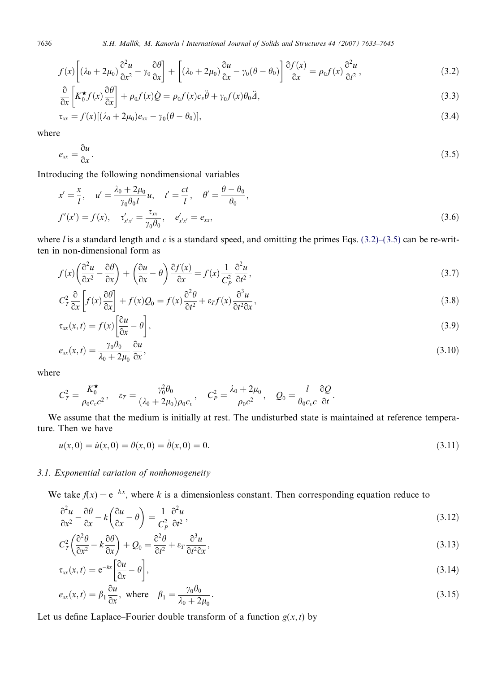7636 *S.H. Mallik, M. Kanoria / International Journal of Solids and Structures 44 (2007) 7633–7645*

$$
f(x)\left[\left(\lambda_0 + 2\mu_0\right)\frac{\partial^2 u}{\partial x^2} - \gamma_0 \frac{\partial \theta}{\partial x}\right] + \left[\left(\lambda_0 + 2\mu_0\right)\frac{\partial u}{\partial x} - \gamma_0(\theta - \theta_0)\right]\frac{\partial f(x)}{\partial x} = \rho_0 f(x)\frac{\partial^2 u}{\partial t^2},\tag{3.2}
$$

$$
\frac{\partial}{\partial x}\left[K_0^{\star}f(x)\frac{\partial\theta}{\partial x}\right] + \rho_0 f(x)\dot{Q} = \rho_0 f(x)c_v\ddot{\theta} + \gamma_0 f(x)\theta_0\ddot{A},\tag{3.3}
$$

$$
\tau_{xx} = f(x)[(\lambda_0 + 2\mu_0)e_{xx} - \gamma_0(\theta - \theta_0)], \qquad (3.4)
$$

where

$$
e_{xx} = \frac{\partial u}{\partial x}.
$$
\n(3.5)

Introducing the following nondimensional variables

$$
x' = \frac{x}{l}, \quad u' = \frac{\lambda_0 + 2\mu_0}{\gamma_0 \theta_0 l} u, \quad t' = \frac{ct}{l}, \quad \theta' = \frac{\theta - \theta_0}{\theta_0},
$$
  

$$
f'(x') = f(x), \quad \tau'_{x'x} = \frac{\tau_{xx}}{\gamma_0 \theta_0}, \quad e'_{x'x'} = e_{xx},
$$
 (3.6)

where *l* is a standard length and *c* is a standard speed, and omitting the primes Eqs. (3.2)–(3.5) can be re-written in non-dimensional form as

$$
f(x)\left(\frac{\partial^2 u}{\partial x^2} - \frac{\partial \theta}{\partial x}\right) + \left(\frac{\partial u}{\partial x} - \theta\right)\frac{\partial f(x)}{\partial x} = f(x)\frac{1}{C_P^2}\frac{\partial^2 u}{\partial t^2},\tag{3.7}
$$

$$
C_T^2 \frac{\partial}{\partial x} \left[ f(x) \frac{\partial \theta}{\partial x} \right] + f(x) Q_0 = f(x) \frac{\partial^2 \theta}{\partial t^2} + \varepsilon_T f(x) \frac{\partial^3 u}{\partial t^2 \partial x},
$$
\n(3.8)

$$
\tau_{xx}(x,t) = f(x) \left[ \frac{\partial u}{\partial x} - \theta \right],\tag{3.9}
$$

$$
e_{xx}(x,t) = \frac{\gamma_0 \theta_0}{\lambda_0 + 2\mu_0} \frac{\partial u}{\partial x},\tag{3.10}
$$

where

$$
C_T^2 = \frac{K_0^{\star}}{\rho_0 c_v c^2}, \quad \varepsilon_T = \frac{\gamma_0^2 \theta_0}{(\lambda_0 + 2\mu_0)\rho_0 c_v}, \quad C_P^2 = \frac{\lambda_0 + 2\mu_0}{\rho_0 c^2}, \quad Q_0 = \frac{l}{\theta_0 c_v c} \frac{\partial Q}{\partial t}.
$$

We assume that the medium is initially at rest. The undisturbed state is maintained at reference temperature. Then we have

$$
u(x,0) = \dot{u}(x,0) = \dot{\theta}(x,0) = \dot{\theta}(x,0) = 0.
$$
\n(3.11)

# *3.1. Exponential variation of nonhomogeneity*

We take  $f(x) = e^{-kx}$ , where *k* is a dimensionless constant. Then corresponding equation reduce to

$$
\frac{\partial^2 u}{\partial x^2} - \frac{\partial \theta}{\partial x} - k \left( \frac{\partial u}{\partial x} - \theta \right) = \frac{1}{C_P^2} \frac{\partial^2 u}{\partial t^2},\tag{3.12}
$$

$$
C_T^2 \left( \frac{\partial^2 \theta}{\partial x^2} - k \frac{\partial \theta}{\partial x} \right) + Q_0 = \frac{\partial^2 \theta}{\partial t^2} + \varepsilon_T \frac{\partial^3 u}{\partial t^2 \partial x},\tag{3.13}
$$

$$
\tau_{xx}(x,t) = e^{-kx} \left[ \frac{\partial u}{\partial x} - \theta \right],\tag{3.14}
$$

$$
e_{xx}(x,t) = \beta_1 \frac{\partial u}{\partial x}, \text{ where } \beta_1 = \frac{\gamma_0 \theta_0}{\lambda_0 + 2\mu_0}.
$$
 (3.15)

Let us define Laplace–Fourier double transform of a function  $g(x, t)$  by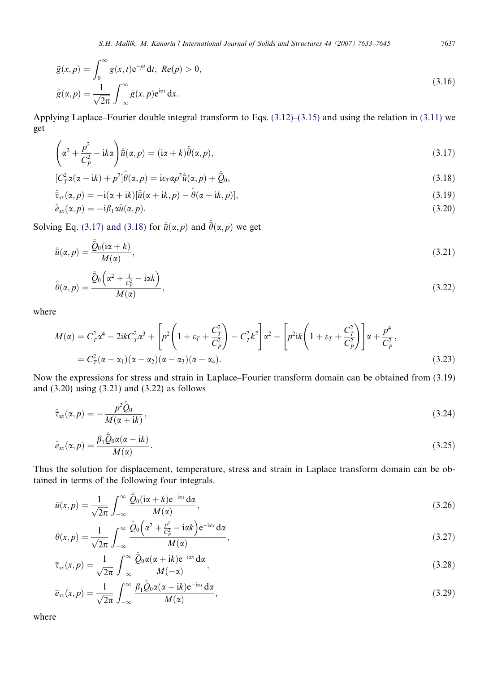$$
\bar{g}(x,p) = \int_0^\infty g(x,t)e^{-pt} dt, Re(p) > 0,
$$
  

$$
\hat{\bar{g}}(\alpha, p) = \frac{1}{\sqrt{2\pi}} \int_{-\infty}^\infty \bar{g}(x,p)e^{i\alpha x} dx.
$$
\n(3.16)

Applying Laplace–Fourier double integral transform to Eqs. (3.12)–(3.15) and using the relation in (3.11) we get

$$
\left(\alpha^2 + \frac{p^2}{C_P^2} - ik\alpha\right)\hat{\bar{u}}(\alpha, p) = (i\alpha + k)\hat{\bar{\theta}}(\alpha, p),\tag{3.17}
$$

$$
[C_T^2 \alpha(\alpha - i k) + p^2] \hat{\bar{\theta}}(\alpha, p) = i \varepsilon_T \alpha p^2 \hat{u}(\alpha, p) + \hat{Q}_0,
$$
\n(3.18)

$$
\hat{\bar{\tau}}_{xx}(\alpha, p) = -i(\alpha + ik)[\hat{\bar{u}}(\alpha + ik, p) - \hat{\bar{\theta}}(\alpha + ik, p)],
$$
\n(3.19)

$$
\hat{\bar{e}}_{xx}(\alpha, p) = -i\beta_1 \alpha \hat{\bar{u}}(\alpha, p). \tag{3.20}
$$

Solving Eq. (3.17) and (3.18) for  $\hat{u}(\alpha, p)$  and  $\hat{\theta}(\alpha, p)$  we get

$$
\hat{\bar{u}}(\alpha, p) = \frac{\hat{\bar{Q}}_0(i\alpha + k)}{M(\alpha)},
$$
\n(3.21)

$$
\hat{\bar{\theta}}(\alpha, p) = \frac{\hat{\bar{\mathcal{Q}}}_0\left(\alpha^2 + \frac{1}{C_p^2} - i\alpha k\right)}{M(\alpha)},
$$
\n(3.22)

where

$$
M(\alpha) = C_T^2 \alpha^4 - 2ikC_T^2 \alpha^3 + \left[ p^2 \left( 1 + \varepsilon_T + \frac{C_T^2}{C_P^2} \right) - C_T^2 k^2 \right] \alpha^2 - \left[ p^2 ik \left( 1 + \varepsilon_T + \frac{C_T^2}{C_P^2} \right) \right] \alpha + \frac{p^4}{C_P^2},
$$
  
=  $C_T^2 (\alpha - \alpha_1)(\alpha - \alpha_2)(\alpha - \alpha_3)(\alpha - \alpha_4).$  (3.23)

Now the expressions for stress and strain in Laplace–Fourier transform domain can be obtained from (3.19) and (3.20) using (3.21) and (3.22) as follows

$$
\hat{\tau}_{xx}(\alpha, p) = -\frac{p^2 \hat{\mathcal{Q}}_0}{M(\alpha + ik)},
$$
\n(3.24)

$$
\hat{\vec{e}}_{xx}(\alpha, p) = \frac{\beta_1 \hat{\vec{Q}}_0 \alpha(\alpha - \mathrm{i}k)}{M(\alpha)}.
$$
\n(3.25)

Thus the solution for displacement, temperature, stress and strain in Laplace transform domain can be obtained in terms of the following four integrals.

$$
\bar{u}(x,p) = \frac{1}{\sqrt{2\pi}} \int_{-\infty}^{\infty} \frac{\hat{Q}_0(i\alpha + k) e^{-i\alpha x} d\alpha}{M(\alpha)},
$$
\n(3.26)

$$
\bar{\theta}(x,p) = \frac{1}{\sqrt{2\pi}} \int_{-\infty}^{\infty} \frac{\hat{\mathcal{Q}}_0\left(\alpha^2 + \frac{p^2}{C_p^2} - i\alpha k\right) e^{-i\alpha x} d\alpha}{M(\alpha)},
$$
\n(3.27)

$$
\bar{\tau}_{xx}(x,p) = \frac{1}{\sqrt{2\pi}} \int_{-\infty}^{\infty} \frac{\hat{\mathcal{Q}}_0 \alpha(\alpha + ik) e^{-i\alpha x} d\alpha}{M(-\alpha)},
$$
\n(3.28)

$$
\bar{e}_{xx}(x,p) = \frac{1}{\sqrt{2\pi}} \int_{-\infty}^{\infty} \frac{\beta_1 \hat{Q}_0 \alpha(\alpha - \mathrm{i}k) e^{-\mathrm{i} \alpha x} \mathrm{d} \alpha}{M(\alpha)},\tag{3.29}
$$

where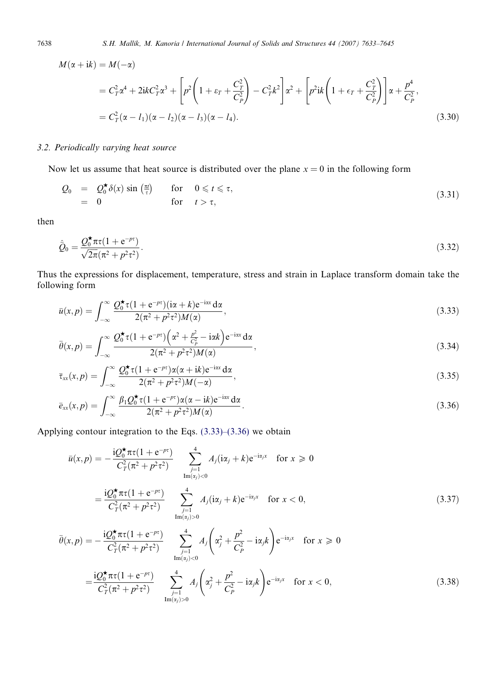$$
M(\alpha + i k) = M(-\alpha)
$$
  
=  $C_T^2 \alpha^4 + 2i k C_T^2 \alpha^3 + \left[ p^2 \left( 1 + \varepsilon_T + \frac{C_T^2}{C_P^2} \right) - C_T^2 k^2 \right] \alpha^2 + \left[ p^2 i k \left( 1 + \varepsilon_T + \frac{C_T^2}{C_P^2} \right) \right] \alpha + \frac{p^4}{C_P^2},$   
=  $C_T^2 (\alpha - l_1)(\alpha - l_2)(\alpha - l_3)(\alpha - l_4).$  (3.30)

# *3.2. Periodically varying heat source*

Now let us assume that heat source is distributed over the plane  $x = 0$  in the following form

$$
Q_0 = Q_0^{\star} \delta(x) \sin\left(\frac{\pi t}{\tau}\right) \quad \text{for} \quad 0 \leqslant t \leqslant \tau,
$$
\n
$$
= 0 \quad \text{for} \quad t > \tau,
$$
\n
$$
(3.31)
$$

then

$$
\hat{Q}_0 = \frac{Q_0^{\star} \pi \tau (1 + e^{-p\tau})}{\sqrt{2\pi} (\pi^2 + p^2 \tau^2)}.
$$
\n(3.32)

Thus the expressions for displacement, temperature, stress and strain in Laplace transform domain take the following form

$$
\bar{u}(x,p) = \int_{-\infty}^{\infty} \frac{\mathcal{Q}_0^{\star} \tau (1 + e^{-px})(i\alpha + k)e^{-i\alpha x} d\alpha}{2(\pi^2 + p^2 \tau^2)M(\alpha)},
$$
\n(3.33)

$$
\bar{\theta}(x,p) = \int_{-\infty}^{\infty} \frac{Q_0^{\star} \tau (1 + e^{-px}) \left(\alpha^2 + \frac{p^2}{C_P^2} - i\alpha k\right) e^{-i\alpha x} d\alpha}{2(\pi^2 + p^2 \tau^2) M(\alpha)},
$$
\n(3.34)

$$
\bar{\tau}_{xx}(x,p) = \int_{-\infty}^{\infty} \frac{\mathcal{Q}_0^{\star} \tau (1 + e^{-p\tau}) \alpha(\alpha + ik) e^{-i\alpha x} d\alpha}{2(\pi^2 + p^2 \tau^2) M(-\alpha)},
$$
\n(3.35)

$$
\bar{e}_{xx}(x,p) = \int_{-\infty}^{\infty} \frac{\beta_1 Q_0^{\star} \tau (1 + e^{-px}) \alpha(\alpha - ik) e^{-i\alpha x} d\alpha}{2(\pi^2 + p^2 \tau^2) M(\alpha)}.
$$
\n(3.36)

Applying contour integration to the Eqs. (3.33)–(3.36) we obtain

$$
\bar{u}(x,p) = -\frac{iQ_0^{\star}\pi\tau(1+e^{-p\tau})}{C_T^2(\pi^2+p^2\tau^2)} \sum_{\substack{j=1 \ \text{Im}(x_j)<0}}^4 A_j(i\alpha_j+k)e^{-i\alpha_jx} \quad \text{for } x \ge 0
$$
\n
$$
= \frac{iQ_0^{\star}\pi\tau(1+e^{-p\tau})}{C_T^2(\pi^2+p^2\tau^2)} \sum_{\substack{j=1 \ \text{Im}(x_j)>0}}^4 A_j(i\alpha_j+k)e^{-i\alpha_jx} \quad \text{for } x < 0,
$$
\n
$$
\bar{\theta}(x,p) = -\frac{iQ_0^{\star}\pi\tau(1+e^{-p\tau})}{C_T^2(\pi^2+p^2\tau^2)} \sum_{\substack{j=1 \ \text{Im}(x_j)<0}}^4 A_j\left(\alpha_j^2+\frac{p^2}{C_p^2}-i\alpha_jk\right)e^{-i\alpha_jx} \quad \text{for } x \ge 0
$$
\n
$$
(3.37)
$$

$$
=\frac{\mathrm{i} Q_0^{\star}\pi\tau (1+e^{-p\tau})}{C_T^2(\pi^2+p^2\tau^2)}\sum_{\substack{j=1\\ \text{Im}(x_j)>0}}^4 A_j\left(\alpha_j^2+\frac{p^2}{C_p^2}-\mathrm{i}\alpha_jk\right)e^{-\mathrm{i}\alpha_jx}\quad \text{for } x<0,
$$
\n(3.38)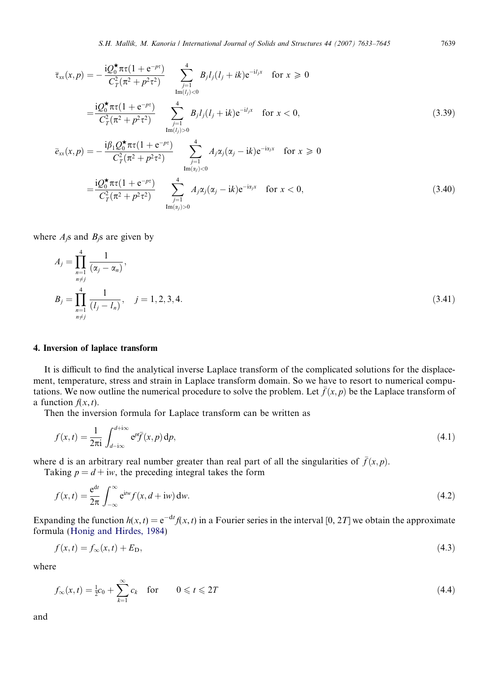$$
\overline{\tau}_{xx}(x,p) = -\frac{iQ_0^{\star}\pi\tau(1 + e^{-p\tau})}{C_T^2(\pi^2 + p^2\tau^2)} \sum_{\substack{j=1 \ \text{Im}(l_j) < 0}}^4 B_j l_j(l_j + ik) e^{-i l_j x} \quad \text{for } x \ge 0
$$
\n
$$
= \frac{iQ_0^{\star}\pi\tau(1 + e^{-p\tau})}{C_T^2(\pi^2 + p^2\tau^2)} \sum_{\substack{j=1 \ \text{Im}(l_j) > 0}}^4 B_j l_j(l_j + ik) e^{-i l_j x} \quad \text{for } x < 0,
$$
\n
$$
\overline{e}_{xx}(x,p) = -\frac{i\beta_1 Q_0^{\star}\pi\tau(1 + e^{-p\tau})}{C_T^2(\pi^2 + p^2\tau^2)} \sum_{\substack{j=1 \ \text{Im}(x_j) < 0}}^4 A_j \alpha_j(\alpha_j - ik) e^{-i \alpha_j x} \quad \text{for } x \ge 0
$$
\n
$$
= \frac{iQ_0^{\star}\pi\tau(1 + e^{-p\tau})}{C_0^{\star}\pi\tau(1 + e^{-p\tau})} \sum_{\substack{j=1 \ \text{Im}(x_j) < 0}}^4 A_j \alpha_j(\alpha_j - ik) e^{-i \alpha_j x} \quad \text{for } x < 0
$$
\n
$$
(3.40)
$$

$$
=\frac{\mathrm{i}Q_{0}^{*}\pi\tau(1+e^{-p\tau})}{C_{T}^{2}(\pi^{2}+p^{2}\tau^{2})}\sum_{\substack{j=1\\Im(\alpha_{j})>0}}^{4}A_{j}\alpha_{j}(\alpha_{j}-\mathrm{i}k)e^{-\mathrm{i}\alpha_{j}x} \quad \text{for } x<0,
$$
\n(3.40)

where  $A_i$ <sup>s</sup> and  $B_i$ <sup>s</sup> are given by

$$
A_{j} = \prod_{\substack{n=1 \ n \neq j}}^{4} \frac{1}{(\alpha_{j} - \alpha_{n})},
$$
  
\n
$$
B_{j} = \prod_{\substack{n=1 \ n \neq j}}^{4} \frac{1}{(l_{j} - l_{n})}, \quad j = 1, 2, 3, 4.
$$
\n(3.41)

#### 4. Inversion of laplace transform

It is difficult to find the analytical inverse Laplace transform of the complicated solutions for the displacement, temperature, stress and strain in Laplace transform domain. So we have to resort to numerical computations. We now outline the numerical procedure to solve the problem. Let  $\bar{f}(x, p)$  be the Laplace transform of a function  $f(x, t)$ .

Then the inversion formula for Laplace transform can be written as

$$
f(x,t) = \frac{1}{2\pi i} \int_{d-i\infty}^{d+i\infty} e^{pt} \overline{f}(x,p) dp,
$$
\n(4.1)

where d is an arbitrary real number greater than real part of all the singularities of  $\bar{f}(x, p)$ .

Taking  $p = d + i w$ , the preceding integral takes the form

$$
f(x,t) = \frac{e^{dt}}{2\pi} \int_{-\infty}^{\infty} e^{itw} f(x, d+iw) dw.
$$
 (4.2)

Expanding the function  $h(x, t) = e^{-dt} f(x, t)$  in a Fourier series in the interval [0, 2*T*] we obtain the approximate formula (Honig and Hirdes, 1984)

$$
f(x,t) = f_{\infty}(x,t) + E_{\text{D}},\tag{4.3}
$$

where

$$
f_{\infty}(x,t) = \frac{1}{2}c_0 + \sum_{k=1}^{\infty} c_k \quad \text{for} \quad 0 \leq t \leq 2T
$$
 (4.4)

and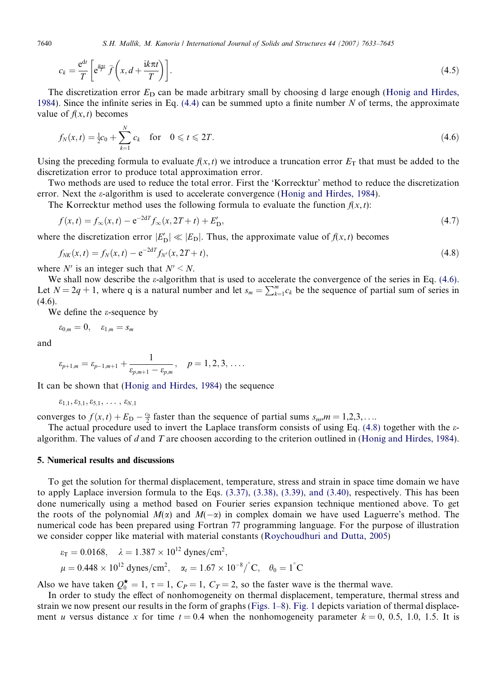7640 *S.H. Mallik, M. Kanoria / International Journal of Solids and Structures 44 (2007) 7633–7645*

$$
c_k = \frac{e^{dt}}{T} \left[ e^{\frac{ik\pi t}{T}} \bar{f}\left(x, d + \frac{k\pi t}{T}\right) \right].
$$
\n(4.5)

The discretization error  $E<sub>D</sub>$  can be made arbitrary small by choosing d large enough (Honig and Hirdes, 1984). Since the infinite series in Eq. (4.4) can be summed upto a finite number *N* of terms, the approximate value of  $f(x, t)$  becomes

$$
f_N(x,t) = \frac{1}{2}c_0 + \sum_{k=1}^N c_k \quad \text{for} \quad 0 \leqslant t \leqslant 2T. \tag{4.6}
$$

Using the preceding formula to evaluate  $f(x, t)$  we introduce a truncation error  $E<sub>T</sub>$  that must be added to the discretization error to produce total approximation error.

Two methods are used to reduce the total error. First the 'Korrecktur' method to reduce the discretization error. Next the  $\varepsilon$ -algorithm is used to accelerate convergence (Honig and Hirdes, 1984).

The Korrecktur method uses the following formula to evaluate the function  $f(x, t)$ :

$$
f(x,t) = f_{\infty}(x,t) - e^{-2dT} f_{\infty}(x, 2T + t) + E'_{D},
$$
\n(4.7)

where the discretization error  $|E'_{D}| \ll |E_{D}|$ . Thus, the approximate value of  $f(x, t)$  becomes

$$
f_{NK}(x,t) = f_N(x,t) - e^{-2dT} f_{N'}(x,2T+t),
$$
\n(4.8)

where  $N'$  is an integer such that  $N' \le N$ .

We shall now describe the  $\varepsilon$ -algorithm that is used to accelerate the convergence of the series in Eq. (4.6). Let  $N = 2q + 1$ , where q is a natural number and let  $s_m = \sum_{k=1}^m c_k$  be the sequence of partial sum of series in  $(4.6).$ 

We define the  $\varepsilon$ -sequence by

$$
\varepsilon_{0,m}=0, \quad \varepsilon_{1,m}=s_m
$$

and

$$
\varepsilon_{p+1,m} = \varepsilon_{p-1,m+1} + \frac{1}{\varepsilon_{p,m+1} - \varepsilon_{p,m}}, \quad p = 1, 2, 3, \ldots
$$

It can be shown that (Honig and Hirdes, 1984) the sequence

$$
\varepsilon_{1,1}, \varepsilon_{3,1}, \varepsilon_{5,1}, \ldots, \varepsilon_{N,1}
$$

converges to  $f(x, t) + E_D - \frac{c_0}{2}$  faster than the sequence of partial sums  $s_m, m = 1, 2, 3, \ldots$ 

The actual procedure used to invert the Laplace transform consists of using Eq.  $(4.8)$  together with the  $\varepsilon$ algorithm. The values of *d* and *T* are choosen according to the criterion outlined in (Honig and Hirdes, 1984).

#### 5. Numerical results and discussions

To get the solution for thermal displacement, temperature, stress and strain in space time domain we have to apply Laplace inversion formula to the Eqs. (3.37), (3.38), (3.39), and (3.40), respectively. This has been done numerically using a method based on Fourier series expansion technique mentioned above. To get the roots of the polynomial  $M(\alpha)$  and  $M(-\alpha)$  in complex domain we have used Laguerre's method. The numerical code has been prepared using Fortran 77 programming language. For the purpose of illustration we consider copper like material with material constants (Roychoudhuri and Dutta, 2005)

$$
\varepsilon_{\rm T} = 0.0168, \quad \lambda = 1.387 \times 10^{12} \text{ dynes/cm}^2,
$$
  
\n $\mu = 0.448 \times 10^{12} \text{ dynes/cm}^2, \quad \alpha_t = 1.67 \times 10^{-8} / ^{\circ} \text{C}, \quad \theta_0 = 1^{\circ} \text{C}$ 

Also we have taken  $Q_0^* = 1$ ,  $\tau = 1$ ,  $C_P = 1$ ,  $C_T = 2$ , so the faster wave is the thermal wave.

In order to study the effect of nonhomogeneity on thermal displacement, temperature, thermal stress and strain we now present our results in the form of graphs (Figs. 1–8). Fig. 1 depicts variation of thermal displacement *u* versus distance *x* for time  $t = 0.4$  when the nonhomogeneity parameter  $k = 0, 0.5, 1.0, 1.5$ . It is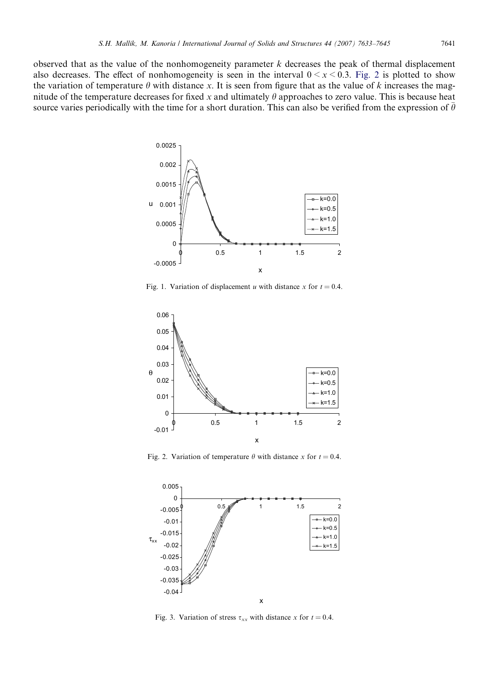observed that as the value of the nonhomogeneity parameter *k* decreases the peak of thermal displacement also decreases. The effect of nonhomogeneity is seen in the interval  $0 \le x \le 0.3$ . Fig. 2 is plotted to show the variation of temperature  $\theta$  with distance x. It is seen from figure that as the value of  $k$  increases the magnitude of the temperature decreases for fixed x and ultimately  $\theta$  approaches to zero value. This is because heat source varies periodically with the time for a short duration. This can also be verified from the expression of  $\bar{\theta}$ 



Fig. 1. Variation of displacement *u* with distance *x* for  $t = 0.4$ .



Fig. 2. Variation of temperature  $\theta$  with distance *x* for  $t = 0.4$ .



Fig. 3. Variation of stress  $\tau_{xx}$  with distance *x* for  $t = 0.4$ .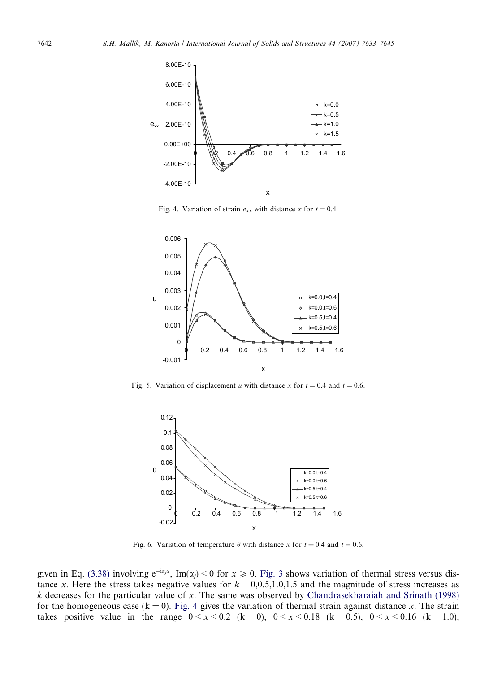

Fig. 4. Variation of strain  $e_{xx}$  with distance *x* for  $t = 0.4$ .



Fig. 5. Variation of displacement *u* with distance *x* for  $t = 0.4$  and  $t = 0.6$ .



Fig. 6. Variation of temperature  $\theta$  with distance *x* for  $t = 0.4$  and  $t = 0.6$ .

given in Eq. (3.38) involving  $e^{-i\alpha_j x}$ , Im( $\alpha_j$ ) < 0 for  $x \ge 0$ . Fig. 3 shows variation of thermal stress versus distance *x*. Here the stress takes negative values for  $k = 0,0.5,1.0,1.5$  and the magnitude of stress increases as *k* decreases for the particular value of *x*. The same was observed by Chandrasekharaiah and Srinath (1998) for the homogeneous case ( $k = 0$ ). Fig. 4 gives the variation of thermal strain against distance *x*. The strain takes positive value in the range  $0 \le x \le 0.2$  (k = 0),  $0 \le x \le 0.18$  (k = 0.5),  $0 \le x \le 0.16$  (k = 1.0),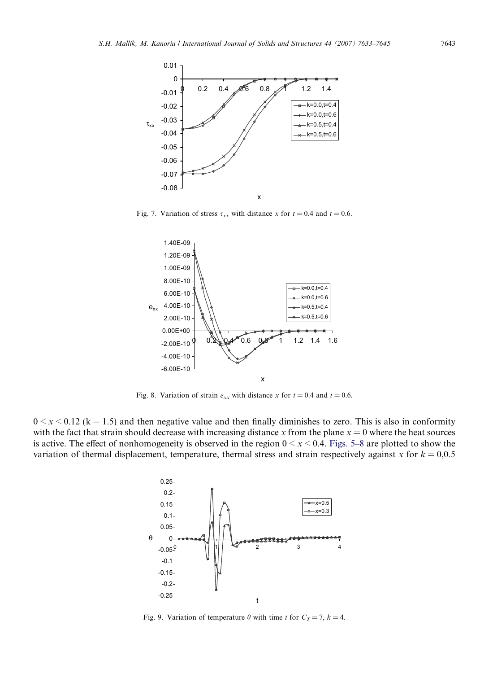

Fig. 7. Variation of stress  $\tau_{xx}$  with distance *x* for  $t = 0.4$  and  $t = 0.6$ .



Fig. 8. Variation of strain  $e_{xx}$  with distance *x* for  $t = 0.4$  and  $t = 0.6$ .

 $0 \le x \le 0.12$  (k = 1.5) and then negative value and then finally diminishes to zero. This is also in conformity with the fact that strain should decrease with increasing distance  $x$  from the plane  $x = 0$  where the heat sources is active. The effect of nonhomogeneity is observed in the region  $0 \le x \le 0.4$ . Figs. 5–8 are plotted to show the variation of thermal displacement, temperature, thermal stress and strain respectively against  $x$  for  $k = 0.0.5$ 



Fig. 9. Variation of temperature  $\theta$  with time *t* for  $C_T = 7$ ,  $k = 4$ .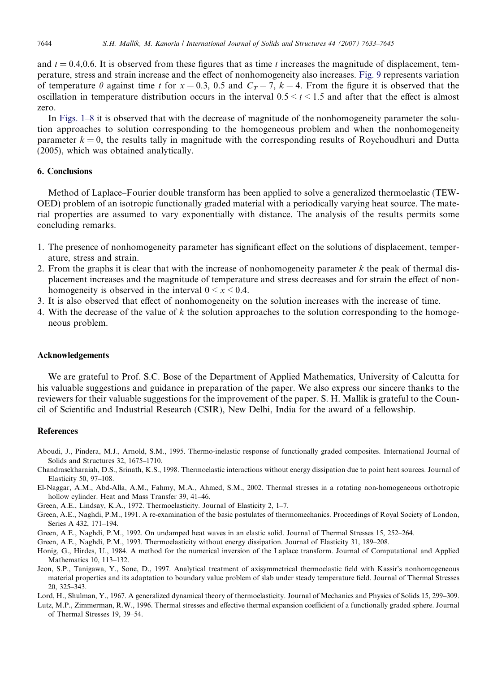and  $t = 0.4, 0.6$ . It is observed from these figures that as time t increases the magnitude of displacement, temperature, stress and strain increase and the effect of nonhomogeneity also increases. Fig. 9 represents variation of temperature  $\theta$  against time *t* for  $x = 0.3$ , 0.5 and  $C_T = 7$ ,  $k = 4$ . From the figure it is observed that the oscillation in temperature distribution occurs in the interval  $0.5 \le t \le 1.5$  and after that the effect is almost zero.

In Figs. 1–8 it is observed that with the decrease of magnitude of the nonhomogeneity parameter the solution approaches to solution corresponding to the homogeneous problem and when the nonhomogeneity parameter  $k = 0$ , the results tally in magnitude with the corresponding results of Roychoudhuri and Dutta (2005), which was obtained analytically.

# 6. Conclusions

Method of Laplace–Fourier double transform has been applied to solve a generalized thermoelastic (TEW-OED) problem of an isotropic functionally graded material with a periodically varying heat source. The material properties are assumed to vary exponentially with distance. The analysis of the results permits some concluding remarks.

- 1. The presence of nonhomogeneity parameter has significant effect on the solutions of displacement, temperature, stress and strain.
- 2. From the graphs it is clear that with the increase of nonhomogeneity parameter *k* the peak of thermal displacement increases and the magnitude of temperature and stress decreases and for strain the effect of nonhomogeneity is observed in the interval  $0 \le x \le 0.4$ .
- 3. It is also observed that effect of nonhomogeneity on the solution increases with the increase of time.
- 4. With the decrease of the value of *k* the solution approaches to the solution corresponding to the homogeneous problem.

## Acknowledgements

We are grateful to Prof. S.C. Bose of the Department of Applied Mathematics, University of Calcutta for his valuable suggestions and guidance in preparation of the paper. We also express our sincere thanks to the reviewers for their valuable suggestions for the improvement of the paper. S. H. Mallik is grateful to the Council of Scientific and Industrial Research (CSIR), New Delhi, India for the award of a fellowship.

#### References

- Aboudi, J., Pindera, M.J., Arnold, S.M., 1995. Thermo-inelastic response of functionally graded composites. International Journal of Solids and Structures 32, 1675–1710.
- Chandrasekharaiah, D.S., Srinath, K.S., 1998. Thermoelastic interactions without energy dissipation due to point heat sources. Journal of Elasticity 50, 97–108.
- El-Naggar, A.M., Abd-Alla, A.M., Fahmy, M.A., Ahmed, S.M., 2002. Thermal stresses in a rotating non-homogeneous orthotropic hollow cylinder. Heat and Mass Transfer 39, 41–46.
- Green, A.E., Lindsay, K.A., 1972. Thermoelasticity. Journal of Elasticity 2, 1–7.
- Green, A.E., Naghdi, P.M., 1991. A re-examination of the basic postulates of thermomechanics. Proceedings of Royal Society of London, Series A 432, 171–194.
- Green, A.E., Naghdi, P.M., 1992. On undamped heat waves in an elastic solid. Journal of Thermal Stresses 15, 252–264.
- Green, A.E., Naghdi, P.M., 1993. Thermoelasticity without energy dissipation. Journal of Elasticity 31, 189–208.
- Honig, G., Hirdes, U., 1984. A method for the numerical inversion of the Laplace transform. Journal of Computational and Applied Mathematics 10, 113–132.
- Jeon, S.P., Tanigawa, Y., Sone, D., 1997. Analytical treatment of axisymmetrical thermoelastic field with Kassir's nonhomogeneous material properties and its adaptation to boundary value problem of slab under steady temperature field. Journal of Thermal Stresses 20, 325–343.
- Lord, H., Shulman, Y., 1967. A generalized dynamical theory of thermoelasticity. Journal of Mechanics and Physics of Solids 15, 299–309.
- Lutz, M.P., Zimmerman, R.W., 1996. Thermal stresses and effective thermal expansion coefficient of a functionally graded sphere. Journal of Thermal Stresses 19, 39–54.